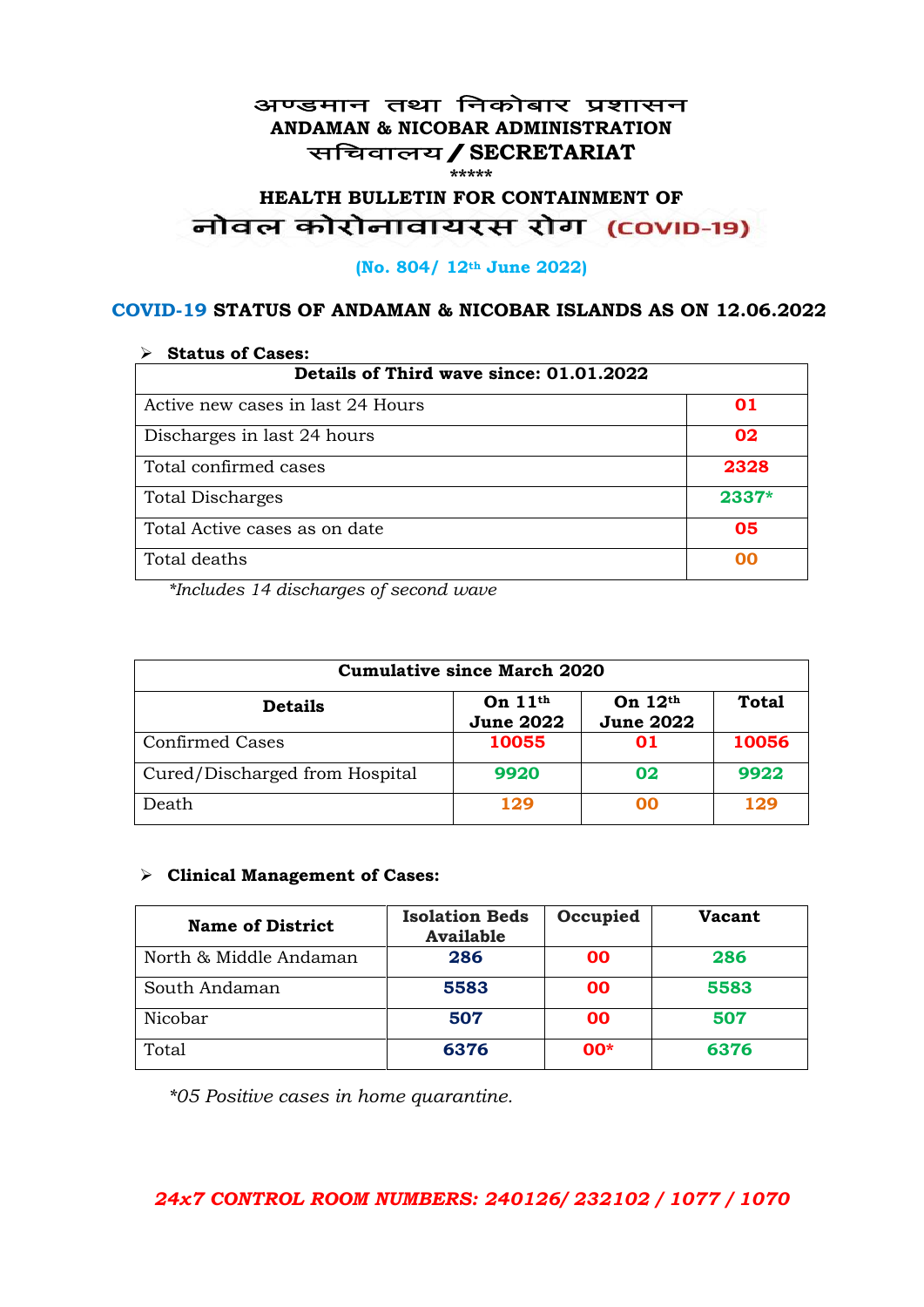#### अण्डमान तथा निकोबार प्रशासन **ANDAMAN & NICOBAR ADMINISTRATION** सचिवालय / SECRETARIAT **\*\*\*\*\***

# **HEALTH BULLETIN FOR CONTAINMENT OF**  नोवल कोरोनावायरस रोग (COVID-19)

#### **(No. 804/ 12th June 2022)**

### **COVID-19 STATUS OF ANDAMAN & NICOBAR ISLANDS AS ON 12.06.2022**

| <b>Status of Cases:</b>                 |         |  |
|-----------------------------------------|---------|--|
| Details of Third wave since: 01.01.2022 |         |  |
| Active new cases in last 24 Hours       | 01      |  |
| Discharges in last 24 hours             | 02      |  |
| Total confirmed cases                   | 2328    |  |
| <b>Total Discharges</b>                 | $2337*$ |  |
| Total Active cases as on date           | 05      |  |
| Total deaths                            | იი      |  |

*\*Includes 14 discharges of second wave*

| <b>Cumulative since March 2020</b> |                               |                               |              |
|------------------------------------|-------------------------------|-------------------------------|--------------|
| <b>Details</b>                     | On $11th$<br><b>June 2022</b> | On $12th$<br><b>June 2022</b> | <b>Total</b> |
| <b>Confirmed Cases</b>             | 10055                         | 01                            | 10056        |
| Cured/Discharged from Hospital     | 9920                          | 02                            | 9922         |
| Death                              | 129                           | ററ                            | 129          |

#### ➢ **Clinical Management of Cases:**

| <b>Name of District</b> | <b>Isolation Beds</b><br><b>Available</b> | Occupied  | <b>Vacant</b> |
|-------------------------|-------------------------------------------|-----------|---------------|
| North & Middle Andaman  | 286                                       | 00        | 286           |
| South Andaman           | 5583                                      | <b>OO</b> | 5583          |
| Nicobar                 | 507                                       | 00        | 507           |
| Total                   | 6376                                      | $00*$     | 6376          |

*\*05 Positive cases in home quarantine.*

## *24x7 CONTROL ROOM NUMBERS: 240126/ 232102 / 1077 / 1070*